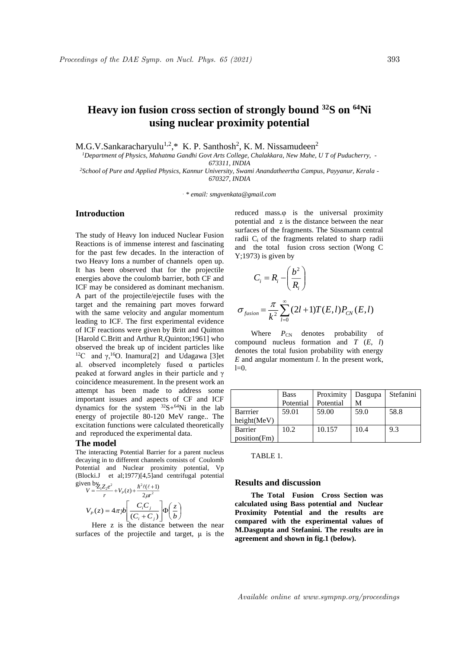# **Heavy ion fusion cross section of strongly bound <sup>32</sup>S on <sup>64</sup>Ni using nuclear proximity potential**

M.G.V.Sankaracharyulu<sup>1,2</sup>,\* K. P. Santhosh<sup>2</sup>, K. M. Nissamudeen<sup>2</sup>

*<sup>1</sup>Department of Physics, Mahatma Gandhi Govt Arts College, Chalakkara, New Mahe, U T of Puducherry, - 673311, INDIA*

*<sup>2</sup>School of Pure and Applied Physics, Kannur University, Swami Anandatheertha Campus, Payyanur, Kerala - 670327, INDIA*

*. \* email: smgvenkata@gmail.com*

## **Introduction**

The study of Heavy Ion induced Nuclear Fusion Reactions is of immense interest and fascinating for the past few decades. In the interaction of two Heavy Ions a number of channels open up. It has been observed that for the projectile energies above the coulomb barrier, both CF and ICF may be considered as dominant mechanism. A part of the projectile/ejectile fuses with the target and the remaining part moves forward with the same velocity and angular momentum leading to ICF. The first experimental evidence of ICF reactions were given by Britt and Quitton [Harold C.Britt and Arthur R,Quinton;1961] who observed the break up of incident particles like <sup>12</sup>C and  $\gamma$ ,<sup>16</sup>O. Inamura[2] and Udagawa [3]et al. observed incompletely fused  $\alpha$  particles peaked at forward angles in their particle and γ coincidence measurement. In the present work an attempt has been made to address some important issues and aspects of CF and ICF dynamics for the system  $32S+64Ni$  in the lab energy of projectile 80-120 MeV range.. The excitation functions were calculated theoretically and reproduced the experimental data.

#### **The model**

The interacting Potential Barrier for a parent nucleus decaying in to different channels consists of Coulomb Potential and Nuclear proximity potential, Vp (Blocki.J et al;1977)[4,5]and centrifugal potential given by  $V = \frac{Z_1 Z_2 e^2}{2} + V_p$ <sup>2</sup>  $\hbar^2 \ell(\ell+1)$ 

$$
V = \frac{Z_1 Z_2 e}{r} + V_p(z) + \frac{R \epsilon(\epsilon + 1)}{2\mu^2}
$$
  

$$
V_p(z) = 4\pi j b \left[ \frac{C_i C_j}{(C_i + C_j)} \right] \Phi \left( \frac{z}{b} \right)
$$

Here z is the distance between the near surfaces of the projectile and target, μ is the reduced mass.φ is the universal proximity potential and z is the distance between the near surfaces of the fragments. The Süssmann central radii C<sub>i</sub> of the fragments related to sharp radii and the total fusion cross section (Wong C  $Y$ ; 1973) is given by

$$
C_i = R_i - \left(\frac{b^2}{R_i}\right)
$$

$$
\sigma_{fusion} = \frac{\pi}{k^2} \sum_{l=0}^{\infty} (2l+1) T(E,l) P_{CN}(E,l)
$$

Where  $P_{\text{CN}}$  denotes probability of compound nucleus formation and  $T$   $(E, l)$ denotes the total fusion probability with energy *E* and angular momentum *l*. In the present work,  $l=0$ 

|              | <b>Bass</b> | Proximity | Dasgupa | Stefanini |
|--------------|-------------|-----------|---------|-----------|
|              | Potential   | Potential | M       |           |
| Barrrier     | 59.01       | 59.00     | 59.0    | 58.8      |
| height(MeV)  |             |           |         |           |
| Barrier      | 10.2        | 10.157    | 10.4    | 9.3       |
| position(Fm) |             |           |         |           |

| H |  |  |  |
|---|--|--|--|
|---|--|--|--|

#### **Results and discussion**

**The Total Fusion Cross Section was calculated using Bass potential and Nuclear Proximity Potential and the results are compared with the experimental values of M.Dasgupta and Stefanini. The results are in agreement and shown in fig.1 (below).**